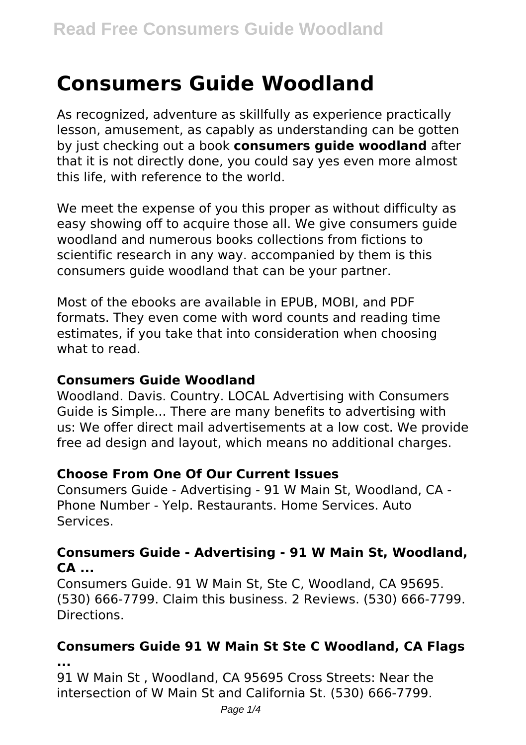# **Consumers Guide Woodland**

As recognized, adventure as skillfully as experience practically lesson, amusement, as capably as understanding can be gotten by just checking out a book **consumers guide woodland** after that it is not directly done, you could say yes even more almost this life, with reference to the world.

We meet the expense of you this proper as without difficulty as easy showing off to acquire those all. We give consumers guide woodland and numerous books collections from fictions to scientific research in any way. accompanied by them is this consumers guide woodland that can be your partner.

Most of the ebooks are available in EPUB, MOBI, and PDF formats. They even come with word counts and reading time estimates, if you take that into consideration when choosing what to read.

#### **Consumers Guide Woodland**

Woodland. Davis. Country. LOCAL Advertising with Consumers Guide is Simple... There are many benefits to advertising with us: We offer direct mail advertisements at a low cost. We provide free ad design and layout, which means no additional charges.

#### **Choose From One Of Our Current Issues**

Consumers Guide - Advertising - 91 W Main St, Woodland, CA - Phone Number - Yelp. Restaurants. Home Services. Auto Services.

#### **Consumers Guide - Advertising - 91 W Main St, Woodland, CA ...**

Consumers Guide. 91 W Main St, Ste C, Woodland, CA 95695. (530) 666-7799. Claim this business. 2 Reviews. (530) 666-7799. Directions.

# **Consumers Guide 91 W Main St Ste C Woodland, CA Flags**

**...**

91 W Main St , Woodland, CA 95695 Cross Streets: Near the intersection of W Main St and California St. (530) 666-7799.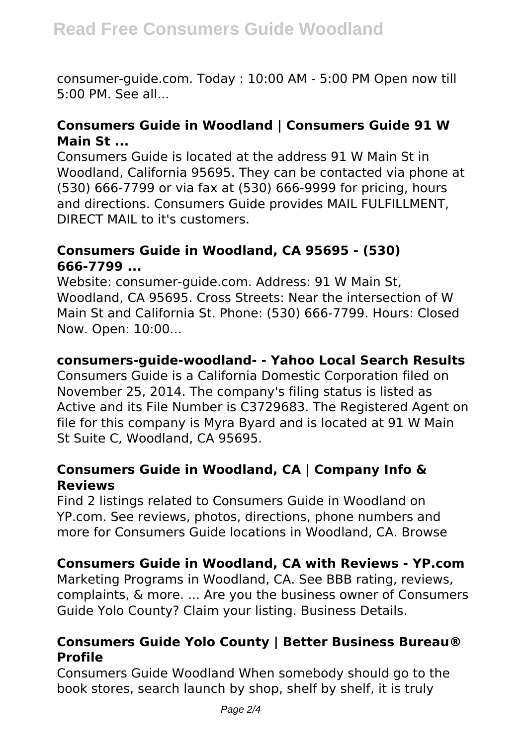consumer-guide.com. Today : 10:00 AM - 5:00 PM Open now till 5:00 PM. See all...

#### **Consumers Guide in Woodland | Consumers Guide 91 W Main St ...**

Consumers Guide is located at the address 91 W Main St in Woodland, California 95695. They can be contacted via phone at (530) 666-7799 or via fax at (530) 666-9999 for pricing, hours and directions. Consumers Guide provides MAIL FULFILLMENT, DIRECT MAIL to it's customers.

#### **Consumers Guide in Woodland, CA 95695 - (530) 666-7799 ...**

Website: consumer-guide.com. Address: 91 W Main St, Woodland, CA 95695. Cross Streets: Near the intersection of W Main St and California St. Phone: (530) 666-7799. Hours: Closed Now. Open: 10:00...

#### **consumers-guide-woodland- - Yahoo Local Search Results**

Consumers Guide is a California Domestic Corporation filed on November 25, 2014. The company's filing status is listed as Active and its File Number is C3729683. The Registered Agent on file for this company is Myra Byard and is located at 91 W Main St Suite C, Woodland, CA 95695.

#### **Consumers Guide in Woodland, CA | Company Info & Reviews**

Find 2 listings related to Consumers Guide in Woodland on YP.com. See reviews, photos, directions, phone numbers and more for Consumers Guide locations in Woodland, CA. Browse

# **Consumers Guide in Woodland, CA with Reviews - YP.com**

Marketing Programs in Woodland, CA. See BBB rating, reviews, complaints, & more. ... Are you the business owner of Consumers Guide Yolo County? Claim your listing. Business Details.

#### **Consumers Guide Yolo County | Better Business Bureau® Profile**

Consumers Guide Woodland When somebody should go to the book stores, search launch by shop, shelf by shelf, it is truly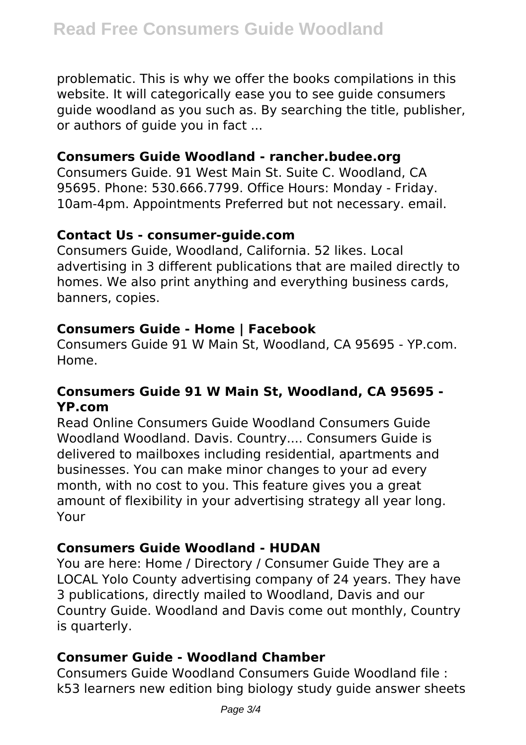problematic. This is why we offer the books compilations in this website. It will categorically ease you to see guide consumers guide woodland as you such as. By searching the title, publisher, or authors of guide you in fact ...

#### **Consumers Guide Woodland - rancher.budee.org**

Consumers Guide. 91 West Main St. Suite C. Woodland, CA 95695. Phone: 530.666.7799. Office Hours: Monday - Friday. 10am-4pm. Appointments Preferred but not necessary. email.

#### **Contact Us - consumer-guide.com**

Consumers Guide, Woodland, California. 52 likes. Local advertising in 3 different publications that are mailed directly to homes. We also print anything and everything business cards, banners, copies.

# **Consumers Guide - Home | Facebook**

Consumers Guide 91 W Main St, Woodland, CA 95695 - YP.com. Home.

# **Consumers Guide 91 W Main St, Woodland, CA 95695 - YP.com**

Read Online Consumers Guide Woodland Consumers Guide Woodland Woodland. Davis. Country.... Consumers Guide is delivered to mailboxes including residential, apartments and businesses. You can make minor changes to your ad every month, with no cost to you. This feature gives you a great amount of flexibility in your advertising strategy all year long. Your

# **Consumers Guide Woodland - HUDAN**

You are here: Home / Directory / Consumer Guide They are a LOCAL Yolo County advertising company of 24 years. They have 3 publications, directly mailed to Woodland, Davis and our Country Guide. Woodland and Davis come out monthly, Country is quarterly.

# **Consumer Guide - Woodland Chamber**

Consumers Guide Woodland Consumers Guide Woodland file : k53 learners new edition bing biology study guide answer sheets